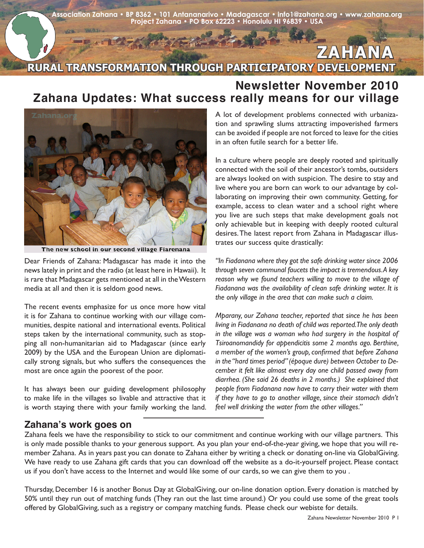**Association Zahana • BP 8362 • 101 Antananarivo • Madagascar • info1@zahana.org • www.zahana.org Project Zahana • PO Box 62223 • Honolulu HI 96839 • USA** 

## **RURAL TRANSFORMATION THROUGH PARTICIPATORY DEVELOPMENT ZAHANA**

## **Newsletter November 2010 Zahana Updates: What success really means for our village**



The new school in our second village Fiarenana

Dear Friends of Zahana: Madagascar has made it into the news lately in print and the radio (at least here in Hawaii). It is rare that Madagascar gets mentioned at all in the Western media at all and then it is seldom good news.

The recent events emphasize for us once more how vital it is for Zahana to continue working with our village communities, despite national and international events. Political steps taken by the international community, such as stopping all non-humanitarian aid to Madagascar (since early 2009) by the USA and the European Union are diplomatically strong signals, but who suffers the consequences the most are once again the poorest of the poor.

It has always been our guiding development philosophy to make life in the villages so livable and attractive that it is worth staying there with your family working the land. A lot of development problems connected with urbanization and sprawling slums attracting impoverished farmers can be avoided if people are not forced to leave for the cities in an often futile search for a better life.

In a culture where people are deeply rooted and spiritually connected with the soil of their ancestor's tombs, outsiders are always looked on with suspicion. The desire to stay and live where you are born can work to our advantage by collaborating on improving their own community. Getting, for example, access to clean water and a school right where you live are such steps that make development goals not only achievable but in keeping with deeply rooted cultural desires. The latest report from Zahana in Madagascar illustrates our success quite drastically:

*"In Fiadanana where they got the safe drinking water since 2006 through seven communal faucets the impact is tremendous. A key reason why we found teachers willing to move to the village of Fiadanana was the availability of clean safe drinking water. It is the only village in the area that can make such a claim.*

*Mparany, our Zahana teacher, reported that since he has been living in Fiadanana no death of child was reported. The only death in the village was a woman who had surgery in the hospital of Tsiroanomandidy for appendicitis some 2 months ago. Berthine, a member of the women's group, confirmed that before Zahana in the "hard times period" (époque dure) between October to December it felt like almost every day one child passed away from diarrhea. (She said 26 deaths in 2 months.) She explained that people from Fiadanana now have to carry their water with them if they have to go to another village, since their stomach didn't feel well drinking the water from the other villages."*

## **Zahana's work goes on**

Zahana feels we have the responsibility to stick to our commitment and continue working with our village partners. This is only made possible thanks to your generous support. As you plan your end-of-the-year giving, we hope that you will remember Zahana. As in years past you can donate to Zahana either by writing a check or donating on-line via GlobalGiving. We have ready to use Zahana gift cards that you can download off the website as a do-it-yourself project. Please contact us if you don't have access to the Internet and would like some of our cards, so we can give them to you .

Thursday, December 16 is another Bonus Day at GlobalGiving, our on-line donation option. Every donation is matched by 50% until they run out of matching funds (They ran out the last time around.) Or you could use some of the great tools offered by GlobalGiving, such as a registry or company matching funds. Please check our webiste for details.